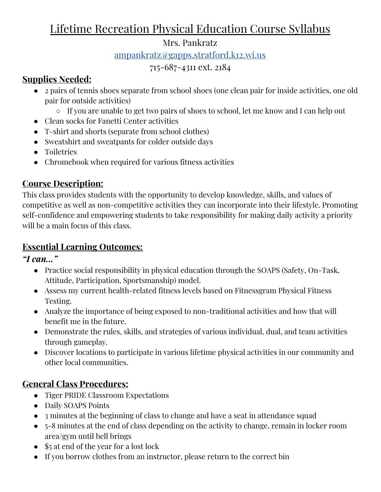# Lifetime Recreation Physical Education Course Syllabus

### Mrs. Pankratz

[ampankratz@gapps.stratford.k12.wi.us](mailto:ampankratz@gapps.stratford.k12.wi.us)

### 715-687-4311 ext. 2184

## **Supplies Needed:**

- 2 pairs of tennis shoes separate from school shoes (one clean pair for inside activities, one old pair for outside activities)
	- If you are unable to get two pairs of shoes to school, let me know and I can help out
- Clean socks for Fanetti Center activities
- T-shirt and shorts (separate from school clothes)
- Sweatshirt and sweatpants for colder outside days
- Toiletries
- Chromebook when required for various fitness activities

## **Course Description:**

This class provides students with the opportunity to develop knowledge, skills, and values of competitive as well as non-competitive activities they can incorporate into their lifestyle. Promoting self-confidence and empowering students to take responsibility for making daily activity a priority will be a main focus of this class.

## **Essential Learning Outcomes:**

*"I can…"*

- Practice social responsibility in physical education through the SOAPS (Safety, On-Task, Attitude, Participation, Sportsmanship) model.
- Assess my current health-related fitness levels based on Fitnessgram Physical Fitness Testing.
- Analyze the importance of being exposed to non-traditional activities and how that will benefit me in the future.
- Demonstrate the rules, skills, and strategies of various individual, dual, and team activities through gameplay.
- Discover locations to participate in various lifetime physical activities in our community and other local communities.

## **General Class Procedures:**

- Tiger PRIDE Classroom Expectations
- Daily SOAPS Points
- 3 minutes at the beginning of class to change and have a seat in attendance squad
- 5-8 minutes at the end of class depending on the activity to change, remain in locker room area/gym until bell brings
- \$5 at end of the year for a lost lock
- If you borrow clothes from an instructor, please return to the correct bin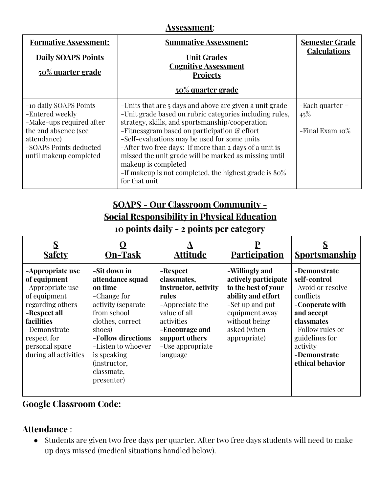#### **Assessment**:

| <b>Formative Assessment:</b><br><b>Daily SOAPS Points</b><br>50% quarter grade                                                                                   | <b>Summative Assessment:</b><br><b>Unit Grades</b><br><b>Cognitive Assessment</b><br><b>Projects</b><br><u>50% quarter grade</u>                                                                                                                                                                                                                                                                                                                                                             | <b>Semester Grade</b><br><b>Calculations</b>      |
|------------------------------------------------------------------------------------------------------------------------------------------------------------------|----------------------------------------------------------------------------------------------------------------------------------------------------------------------------------------------------------------------------------------------------------------------------------------------------------------------------------------------------------------------------------------------------------------------------------------------------------------------------------------------|---------------------------------------------------|
| -10 daily SOAPS Points<br>-Entered weekly<br>-Make-ups required after<br>the 2nd absence (see<br>attendance)<br>-SOAPS Points deducted<br>until makeup completed | -Units that are 5 days and above are given a unit grade<br>-Unit grade based on rubric categories including rules,<br>strategy, skills, and sportsmanship/cooperation<br>-Fitnessgram based on participation & effort<br>-Self-evaluations may be used for some units<br>-After two free days: If more than 2 days of a unit is<br>missed the unit grade will be marked as missing until<br>makeup is completed<br>-If makeup is not completed, the highest grade is $80\%$<br>for that unit | $-$ Each quarter $=$<br>45%<br>$-Final Exam 10\%$ |

## **SOAPS - Our Classroom Community - Social Responsibility in Physical Education**

**10 points daily - 2 points per category**

| <b>Safety</b>                                                                                                                                                                                    | <b>On-Task</b>                                                                                                                                                                                                                              | Attitude                                                                                                                                                                      | <b>Participation</b>                                                                                                                                                     | S<br><u>Sportsmanship</u>                                                                                                                                                                           |
|--------------------------------------------------------------------------------------------------------------------------------------------------------------------------------------------------|---------------------------------------------------------------------------------------------------------------------------------------------------------------------------------------------------------------------------------------------|-------------------------------------------------------------------------------------------------------------------------------------------------------------------------------|--------------------------------------------------------------------------------------------------------------------------------------------------------------------------|-----------------------------------------------------------------------------------------------------------------------------------------------------------------------------------------------------|
| -Appropriate use<br>of equipment<br>-Appropriate use<br>of equipment<br>regarding others<br>-Respect all<br>facilities<br>-Demonstrate<br>respect for<br>personal space<br>during all activities | -Sit down in<br>attendance squad<br>on time<br>-Change for<br>activity (separate<br>from school<br>clothes, correct<br>shoes)<br>-Follow directions<br>-Listen to whoever<br>is speaking<br><i>(instructor,</i><br>classmate,<br>presenter) | -Respect<br>classmates,<br>instructor, activity<br>rules<br>-Appreciate the<br>value of all<br>activities<br>-Encourage and<br>support others<br>-Use appropriate<br>language | -Willingly and<br>actively participate<br>to the best of your<br>ability and effort<br>-Set up and put<br>equipment away<br>without being<br>asked (when<br>appropriate) | -Demonstrate<br>self-control<br>-Avoid or resolve<br>conflicts<br>-Cooperate with<br>and accept<br>classmates<br>-Follow rules or<br>guidelines for<br>activity<br>-Demonstrate<br>ethical behavior |

### **Google Classroom Code:**

### **Attendance** :

● Students are given two free days per quarter. After two free days students will need to make up days missed (medical situations handled below).